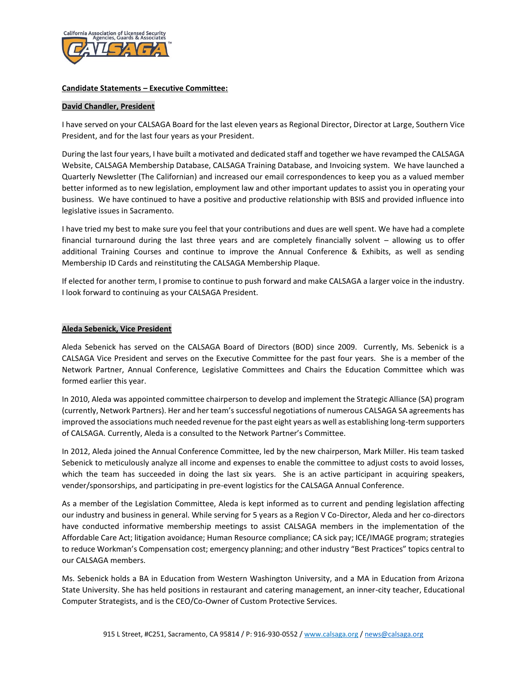

## **Candidate Statements – Executive Committee:**

### **David Chandler, President**

I have served on your CALSAGA Board for the last eleven years as Regional Director, Director at Large, Southern Vice President, and for the last four years as your President.

During the last four years, I have built a motivated and dedicated staff and together we have revamped the CALSAGA Website, CALSAGA Membership Database, CALSAGA Training Database, and Invoicing system. We have launched a Quarterly Newsletter (The Californian) and increased our email correspondences to keep you as a valued member better informed as to new legislation, employment law and other important updates to assist you in operating your business. We have continued to have a positive and productive relationship with BSIS and provided influence into legislative issues in Sacramento.

I have tried my best to make sure you feel that your contributions and dues are well spent. We have had a complete financial turnaround during the last three years and are completely financially solvent – allowing us to offer additional Training Courses and continue to improve the Annual Conference & Exhibits, as well as sending Membership ID Cards and reinstituting the CALSAGA Membership Plaque.

If elected for another term, I promise to continue to push forward and make CALSAGA a larger voice in the industry. I look forward to continuing as your CALSAGA President.

## **Aleda Sebenick, Vice President**

Aleda Sebenick has served on the CALSAGA Board of Directors (BOD) since 2009. Currently, Ms. Sebenick is a CALSAGA Vice President and serves on the Executive Committee for the past four years. She is a member of the Network Partner, Annual Conference, Legislative Committees and Chairs the Education Committee which was formed earlier this year.

In 2010, Aleda was appointed committee chairperson to develop and implement the Strategic Alliance (SA) program (currently, Network Partners). Her and her team's successful negotiations of numerous CALSAGA SA agreements has improved the associations much needed revenue for the past eight years as well as establishing long-term supporters of CALSAGA. Currently, Aleda is a consulted to the Network Partner's Committee.

In 2012, Aleda joined the Annual Conference Committee, led by the new chairperson, Mark Miller. His team tasked Sebenick to meticulously analyze all income and expenses to enable the committee to adjust costs to avoid losses, which the team has succeeded in doing the last six years. She is an active participant in acquiring speakers, vender/sponsorships, and participating in pre-event logistics for the CALSAGA Annual Conference.

As a member of the Legislation Committee, Aleda is kept informed as to current and pending legislation affecting our industry and business in general. While serving for 5 years as a Region V Co-Director, Aleda and her co-directors have conducted informative membership meetings to assist CALSAGA members in the implementation of the Affordable Care Act; litigation avoidance; Human Resource compliance; CA sick pay; ICE/IMAGE program; strategies to reduce Workman's Compensation cost; emergency planning; and other industry "Best Practices" topics central to our CALSAGA members.

Ms. Sebenick holds a BA in Education from Western Washington University, and a MA in Education from Arizona State University. She has held positions in restaurant and catering management, an inner-city teacher, Educational Computer Strategists, and is the CEO/Co-Owner of Custom Protective Services.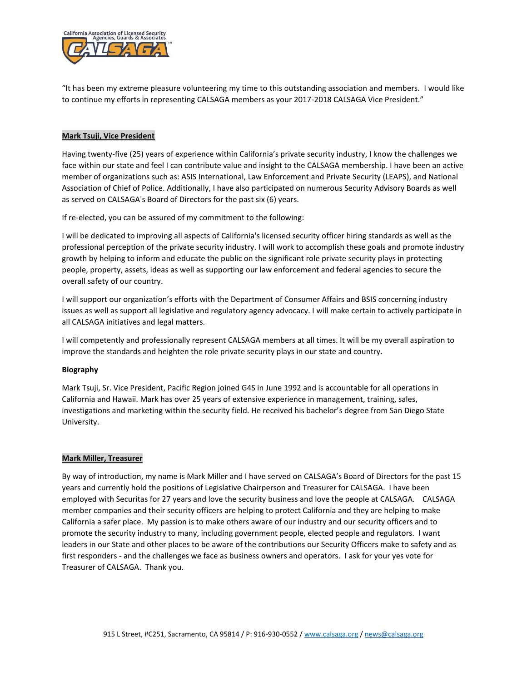

"It has been my extreme pleasure volunteering my time to this outstanding association and members. I would like to continue my efforts in representing CALSAGA members as your 2017-2018 CALSAGA Vice President."

### **Mark Tsuji, Vice President**

Having twenty-five (25) years of experience within California's private security industry, I know the challenges we face within our state and feel I can contribute value and insight to the CALSAGA membership. I have been an active member of organizations such as: ASIS International, Law Enforcement and Private Security (LEAPS), and National Association of Chief of Police. Additionally, I have also participated on numerous Security Advisory Boards as well as served on CALSAGA's Board of Directors for the past six (6) years.

If re-elected, you can be assured of my commitment to the following:

I will be dedicated to improving all aspects of California's licensed security officer hiring standards as well as the professional perception of the private security industry. I will work to accomplish these goals and promote industry growth by helping to inform and educate the public on the significant role private security plays in protecting people, property, assets, ideas as well as supporting our law enforcement and federal agencies to secure the overall safety of our country.

I will support our organization's efforts with the Department of Consumer Affairs and BSIS concerning industry issues as well as support all legislative and regulatory agency advocacy. I will make certain to actively participate in all CALSAGA initiatives and legal matters.

I will competently and professionally represent CALSAGA members at all times. It will be my overall aspiration to improve the standards and heighten the role private security plays in our state and country.

### **Biography**

Mark Tsuji, Sr. Vice President, Pacific Region joined G4S in June 1992 and is accountable for all operations in California and Hawaii. Mark has over 25 years of extensive experience in management, training, sales, investigations and marketing within the security field. He received his bachelor's degree from San Diego State University.

### **Mark Miller, Treasurer**

By way of introduction, my name is Mark Miller and I have served on CALSAGA's Board of Directors for the past 15 years and currently hold the positions of Legislative Chairperson and Treasurer for CALSAGA. I have been employed with Securitas for 27 years and love the security business and love the people at CALSAGA. CALSAGA member companies and their security officers are helping to protect California and they are helping to make California a safer place. My passion is to make others aware of our industry and our security officers and to promote the security industry to many, including government people, elected people and regulators. I want leaders in our State and other places to be aware of the contributions our Security Officers make to safety and as first responders - and the challenges we face as business owners and operators. I ask for your yes vote for Treasurer of CALSAGA. Thank you.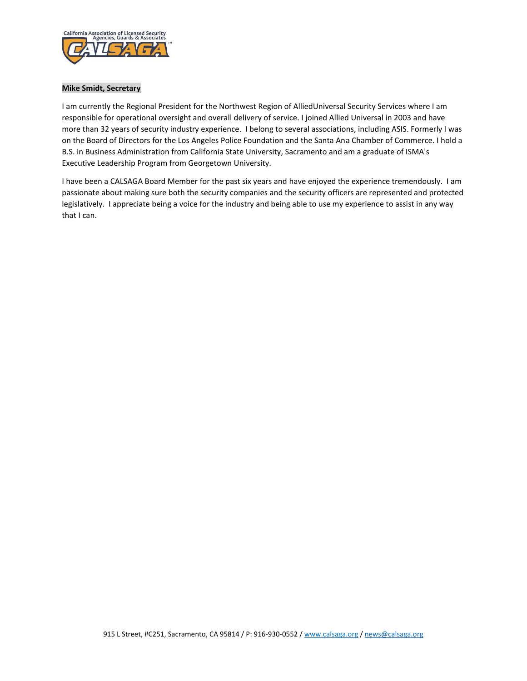

## **Mike Smidt, Secretary**

I am currently the Regional President for the Northwest Region of AlliedUniversal Security Services where I am responsible for operational oversight and overall delivery of service. I joined Allied Universal in 2003 and have more than 32 years of security industry experience. I belong to several associations, including ASIS. Formerly I was on the Board of Directors for the Los Angeles Police Foundation and the Santa Ana Chamber of Commerce. I hold a B.S. in Business Administration from California State University, Sacramento and am a graduate of ISMA's Executive Leadership Program from Georgetown University.

I have been a CALSAGA Board Member for the past six years and have enjoyed the experience tremendously. I am passionate about making sure both the security companies and the security officers are represented and protected legislatively. I appreciate being a voice for the industry and being able to use my experience to assist in any way that I can.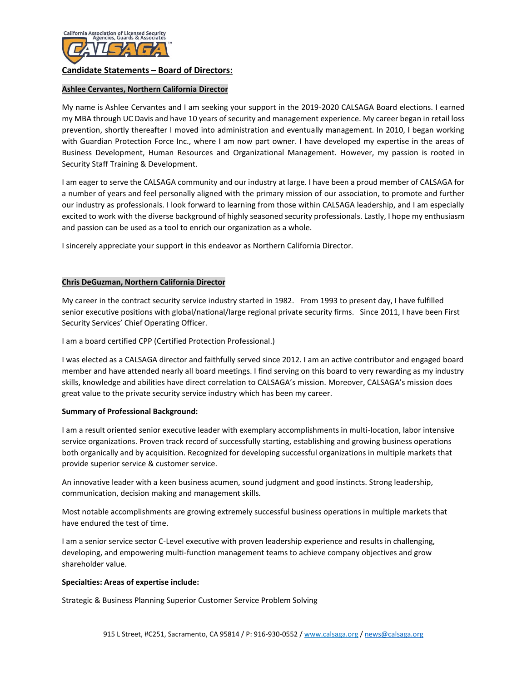

# **Ashlee Cervantes, Northern California Director**

My name is Ashlee Cervantes and I am seeking your support in the 2019-2020 CALSAGA Board elections. I earned my MBA through UC Davis and have 10 years of security and management experience. My career began in retail loss prevention, shortly thereafter I moved into administration and eventually management. In 2010, I began working with Guardian Protection Force Inc., where I am now part owner. I have developed my expertise in the areas of Business Development, Human Resources and Organizational Management. However, my passion is rooted in Security Staff Training & Development.

I am eager to serve the CALSAGA community and our industry at large. I have been a proud member of CALSAGA for a number of years and feel personally aligned with the primary mission of our association, to promote and further our industry as professionals. I look forward to learning from those within CALSAGA leadership, and I am especially excited to work with the diverse background of highly seasoned security professionals. Lastly, I hope my enthusiasm and passion can be used as a tool to enrich our organization as a whole.

I sincerely appreciate your support in this endeavor as Northern California Director.

# **Chris DeGuzman, Northern California Director**

My career in the contract security service industry started in 1982. From 1993 to present day, I have fulfilled senior executive positions with global/national/large regional private security firms. Since 2011, I have been First Security Services' Chief Operating Officer.

I am a board certified CPP (Certified Protection Professional.)

I was elected as a CALSAGA director and faithfully served since 2012. I am an active contributor and engaged board member and have attended nearly all board meetings. I find serving on this board to very rewarding as my industry skills, knowledge and abilities have direct correlation to CALSAGA's mission. Moreover, CALSAGA's mission does great value to the private security service industry which has been my career.

# **Summary of Professional Background:**

I am a result oriented senior executive leader with exemplary accomplishments in multi-location, labor intensive service organizations. Proven track record of successfully starting, establishing and growing business operations both organically and by acquisition. Recognized for developing successful organizations in multiple markets that provide superior service & customer service.

An innovative leader with a keen business acumen, sound judgment and good instincts. Strong leadership, communication, decision making and management skills.

Most notable accomplishments are growing extremely successful business operations in multiple markets that have endured the test of time.

I am a senior service sector C-Level executive with proven leadership experience and results in challenging, developing, and empowering multi-function management teams to achieve company objectives and grow shareholder value.

### **Specialties: Areas of expertise include:**

Strategic & Business Planning Superior Customer Service Problem Solving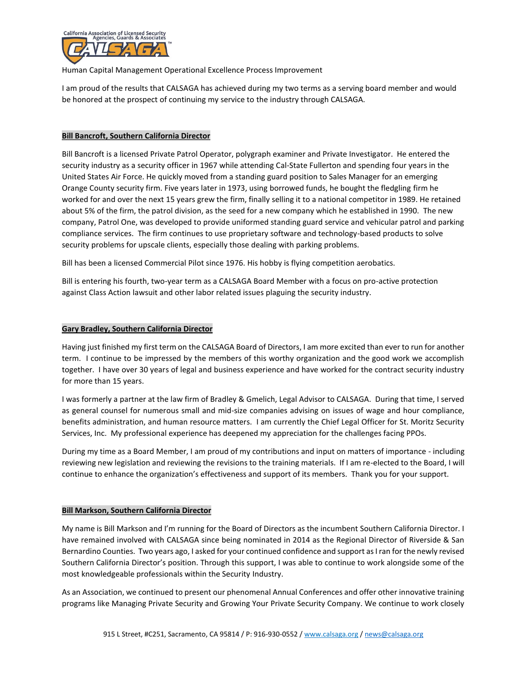

Human Capital Management Operational Excellence Process Improvement

I am proud of the results that CALSAGA has achieved during my two terms as a serving board member and would be honored at the prospect of continuing my service to the industry through CALSAGA.

## **Bill Bancroft, Southern California Director**

Bill Bancroft is a licensed Private Patrol Operator, polygraph examiner and Private Investigator. He entered the security industry as a security officer in 1967 while attending Cal-State Fullerton and spending four years in the United States Air Force. He quickly moved from a standing guard position to Sales Manager for an emerging Orange County security firm. Five years later in 1973, using borrowed funds, he bought the fledgling firm he worked for and over the next 15 years grew the firm, finally selling it to a national competitor in 1989. He retained about 5% of the firm, the patrol division, as the seed for a new company which he established in 1990. The new company, Patrol One, was developed to provide uniformed standing guard service and vehicular patrol and parking compliance services. The firm continues to use proprietary software and technology-based products to solve security problems for upscale clients, especially those dealing with parking problems.

Bill has been a licensed Commercial Pilot since 1976. His hobby is flying competition aerobatics.

Bill is entering his fourth, two-year term as a CALSAGA Board Member with a focus on pro-active protection against Class Action lawsuit and other labor related issues plaguing the security industry.

## **Gary Bradley, Southern California Director**

Having just finished my first term on the CALSAGA Board of Directors, I am more excited than ever to run for another term. I continue to be impressed by the members of this worthy organization and the good work we accomplish together. I have over 30 years of legal and business experience and have worked for the contract security industry for more than 15 years.

I was formerly a partner at the law firm of Bradley & Gmelich, Legal Advisor to CALSAGA. During that time, I served as general counsel for numerous small and mid-size companies advising on issues of wage and hour compliance, benefits administration, and human resource matters. I am currently the Chief Legal Officer for St. Moritz Security Services, Inc. My professional experience has deepened my appreciation for the challenges facing PPOs.

During my time as a Board Member, I am proud of my contributions and input on matters of importance - including reviewing new legislation and reviewing the revisions to the training materials. If I am re-elected to the Board, I will continue to enhance the organization's effectiveness and support of its members. Thank you for your support.

### **Bill Markson, Southern California Director**

My name is Bill Markson and I'm running for the Board of Directors as the incumbent Southern California Director. I have remained involved with CALSAGA since being nominated in 2014 as the Regional Director of Riverside & San Bernardino Counties. Two years ago, I asked for your continued confidence and support as I ran for the newly revised Southern California Director's position. Through this support, I was able to continue to work alongside some of the most knowledgeable professionals within the Security Industry.

As an Association, we continued to present our phenomenal Annual Conferences and offer other innovative training programs like Managing Private Security and Growing Your Private Security Company. We continue to work closely